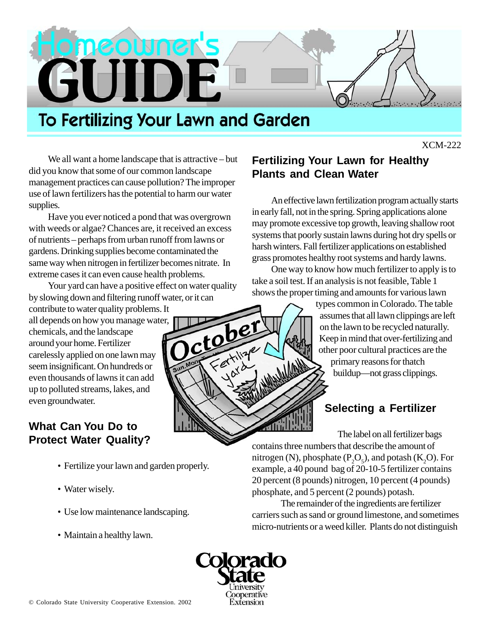

# **To Fertilizing Your Lawn and Garden**

XCM-222

We all want a home landscape that is attractive – but did you know that some of our common landscape management practices can cause pollution? The improper use of lawn fertilizers has the potential to harm our water supplies.

Have you ever noticed a pond that was overgrown with weeds or algae? Chances are, it received an excess of nutrients – perhaps from urban runoff from lawns or gardens. Drinking supplies become contaminated the same way when nitrogen in fertilizer becomes nitrate. In extreme cases it can even cause health problems.

Your yard can have a positive effect on water quality by slowing down and filtering runoff water, or it can

contribute to water quality problems. It all depends on how you manage water, chemicals, and the landscape around your home. Fertilizer carelessly applied on one lawn may seem insignificant. On hundreds or even thousands of lawns it can add up to polluted streams, lakes, and even groundwater.

#### **What Can You Do to Protect Water Quality?**

- Fertilize your lawn and garden properly.
- Water wisely.
- Use low maintenance landscaping.
- Maintain a healthy lawn.

# **Fertilizing Your Lawn for Healthy Plants and Clean Water**

An effective lawn fertilization program actually starts in early fall, not in the spring. Spring applications alone may promote excessive top growth, leaving shallow root systems that poorly sustain lawns during hot dry spells or harsh winters. Fall fertilizer applications on established grass promotes healthy root systems and hardy lawns.

One way to know how much fertilizer to apply is to take a soil test. If an analysis is not feasible, Table 1 shows the proper timing and amounts for various lawn

> types common in Colorado. The table assumes that all lawn clippings are left on the lawn to be recycled naturally. Keep in mind that over-fertilizing and other poor cultural practices are the primary reasons for thatch buildup—not grass clippings.

# **Selecting a Fertilizer**

The label on all fertilizer bags contains three numbers that describe the amount of nitrogen (N), phosphate ( $P_2O_5$ ), and potash (K<sub>2</sub>O). For example, a 40 pound bag of 20-10-5 fertilizer contains 20 percent (8 pounds) nitrogen, 10 percent (4 pounds) phosphate, and 5 percent (2 pounds) potash.

The remainder of the ingredients are fertilizer carriers such as sand or ground limestone, and sometimes micro-nutrients or a weed killer. Plants do not distinguish



ctobel<br>Ctobel

et til ye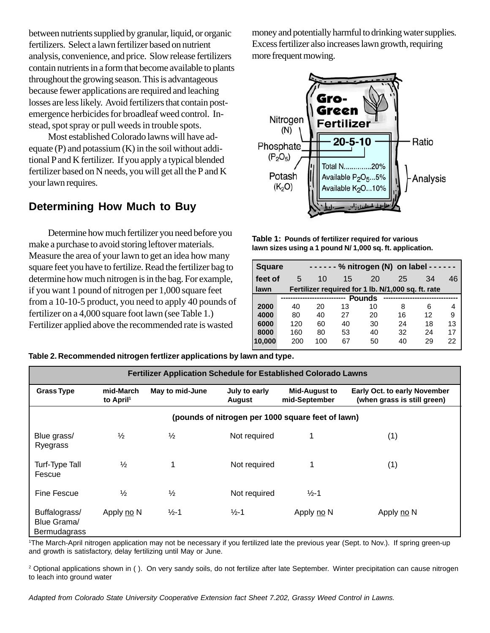between nutrients supplied by granular, liquid, or organic fertilizers. Select a lawn fertilizer based on nutrient analysis, convenience, and price. Slow release fertilizers contain nutrients in a form that become available to plants throughout the growing season. This is advantageous because fewer applications are required and leaching losses are less likely. Avoid fertilizers that contain postemergence herbicides for broadleaf weed control. Instead, spot spray or pull weeds in trouble spots.

Most established Colorado lawns will have adequate  $(P)$  and potassium  $(K)$  in the soil without additional P and K fertilizer. If you apply a typical blended fertilizer based on N needs, you will get all the P and K your lawn requires.

#### **Determining How Much to Buy**

Determine how much fertilizer you need before you make a purchase to avoid storing leftover materials. Measure the area of your lawn to get an idea how many square feet you have to fertilize. Read the fertilizer bag to determine how much nitrogen is in the bag. For example, if you want 1 pound of nitrogen per 1,000 square feet from a 10-10-5 product, you need to apply 40 pounds of fertilizer on a 4,000 square foot lawn (see Table 1.) Fertilizer applied above the recommended rate is wasted

money and potentially harmful to drinking water supplies. Excess fertilizer also increases lawn growth, requiring more frequent mowing.



**Table 1: Pounds of fertilizer required for various lawn sizes using a 1 pound N/ 1,000 sq. ft. application.**

| <b>Square</b>                                              |     | ------ % nitrogen (N) on label ------ |    |    |    |    |    |  |  |  |
|------------------------------------------------------------|-----|---------------------------------------|----|----|----|----|----|--|--|--|
| feet of                                                    | 5   | 10                                    | 15 | 20 | 25 | 34 | 46 |  |  |  |
| Fertilizer required for 1 lb. N/1,000 sq. ft. rate<br>lawn |     |                                       |    |    |    |    |    |  |  |  |
| <b>Pounds</b>                                              |     |                                       |    |    |    |    |    |  |  |  |
| 2000                                                       | 40  | 20                                    | 13 | 10 | 8  | 6  | 4  |  |  |  |
| 4000                                                       | 80  | 40                                    | 27 | 20 | 16 | 12 | 9  |  |  |  |
| 6000                                                       | 120 | 60                                    | 40 | 30 | 24 | 18 | 13 |  |  |  |
| 8000                                                       | 160 | 80                                    | 53 | 40 | 32 | 24 | 17 |  |  |  |
| 10,000                                                     | 200 | 100                                   | 67 | 50 | 40 | 29 | 22 |  |  |  |

| Fertilizer Application Schedule for Established Colorado Lawns |                                                   |                   |                                |                                       |                                                                    |  |  |  |  |  |  |
|----------------------------------------------------------------|---------------------------------------------------|-------------------|--------------------------------|---------------------------------------|--------------------------------------------------------------------|--|--|--|--|--|--|
| <b>Grass Type</b>                                              | mid-March<br>to April <sup>1</sup>                | May to mid-June   | July to early<br><b>August</b> | <b>Mid-August to</b><br>mid-September | <b>Early Oct. to early November</b><br>(when grass is still green) |  |  |  |  |  |  |
|                                                                | (pounds of nitrogen per 1000 square feet of lawn) |                   |                                |                                       |                                                                    |  |  |  |  |  |  |
| Blue grass/<br>Ryegrass                                        | $\frac{1}{2}$                                     | $\frac{1}{2}$     | Not required                   |                                       | (1)                                                                |  |  |  |  |  |  |
| Turf-Type Tall<br>Fescue                                       | $\frac{1}{2}$                                     |                   | Not required                   |                                       | (1)                                                                |  |  |  |  |  |  |
| Fine Fescue                                                    | $\frac{1}{2}$                                     | $\frac{1}{2}$     | Not required                   | $\frac{1}{2}$ -1                      |                                                                    |  |  |  |  |  |  |
| Buffalograss/<br>Blue Grama/<br>Bermudagrass                   | Apply no N                                        | $\frac{1}{2} - 1$ | $\frac{1}{2}$ -1               | Apply no N                            | Apply no N                                                         |  |  |  |  |  |  |

**Table 2. Recommended nitrogen fertlizer applications by lawn and type.**

1 The March-April nitrogen application may not be necessary if you fertilized late the previous year (Sept. to Nov.). If spring green-up and growth is satisfactory, delay fertilizing until May or June.

<sup>2</sup> Optional applications shown in (). On very sandy soils, do not fertilize after late September. Winter precipitation can cause nitrogen to leach into ground water

Adapted from Colorado State University Cooperative Extension fact Sheet 7.202, Grassy Weed Control in Lawns.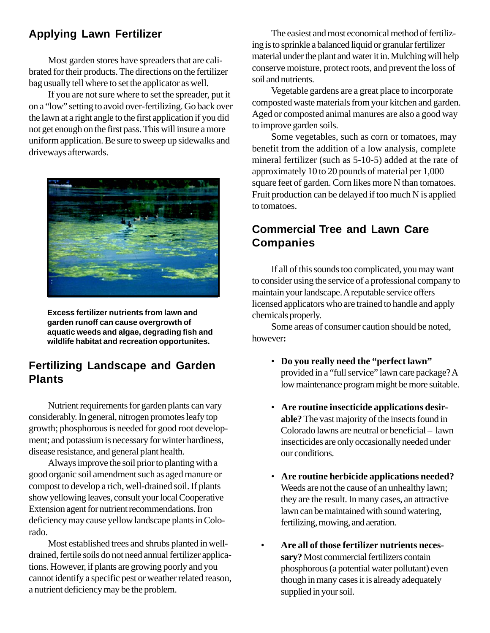# **Applying Lawn Fertilizer**

Most garden stores have spreaders that are calibrated for their products. The directions on the fertilizer bag usually tell where to set the applicator as well.

If you are not sure where to set the spreader, put it on a "low" setting to avoid over-fertilizing. Go back over the lawn at a right angle to the first application if you did not get enough on the first pass. This will insure a more uniform application. Be sure to sweep up sidewalks and driveways afterwards.



**Excess fertilizer nutrients from lawn and garden runoff can cause overgrowth of aquatic weeds and algae, degrading fish and wildlife habitat and recreation opportunites.**

#### **Fertilizing Landscape and Garden Plants**

Nutrient requirements for garden plants can vary considerably. In general, nitrogen promotes leafy top growth; phosphorous is needed for good root development; and potassium is necessary for winter hardiness, disease resistance, and general plant health.

Always improve the soil prior to planting with a good organic soil amendment such as aged manure or compost to develop a rich, well-drained soil. If plants show yellowing leaves, consult your local Cooperative Extension agent for nutrient recommendations. Iron deficiency may cause yellow landscape plants in Colorado.

Most established trees and shrubs planted in welldrained, fertile soils do not need annual fertilizer applications. However, if plants are growing poorly and you cannot identify a specific pest or weather related reason, a nutrient deficiency may be the problem.

The easiest and most economical method of fertilizing is to sprinkle a balanced liquid or granular fertilizer material under the plant and water it in. Mulching will help conserve moisture, protect roots, and prevent the loss of soil and nutrients.

Vegetable gardens are a great place to incorporate composted waste materials from your kitchen and garden. Aged or composted animal manures are also a good way to improve garden soils.

Some vegetables, such as corn or tomatoes, may benefit from the addition of a low analysis, complete mineral fertilizer (such as 5-10-5) added at the rate of approximately 10 to 20 pounds of material per 1,000 square feet of garden. Corn likes more N than tomatoes. Fruit production can be delayed if too much N is applied to tomatoes.

#### **Commercial Tree and Lawn Care Companies**

If all of this sounds too complicated, you may want to consider using the service of a professional company to maintain your landscape. A reputable service offers licensed applicators who are trained to handle and apply chemicals properly.

Some areas of consumer caution should be noted, however**:**

- **Do you really need the "perfect lawn"** provided in a "full service" lawn care package? A low maintenance program might be more suitable.
- **Are routine insecticide applications desirable?** The vast majority of the insects found in Colorado lawns are neutral or beneficial – lawn insecticides are only occasionally needed under our conditions.
- **Are routine herbicide applications needed?** Weeds are not the cause of an unhealthy lawn; they are the result. In many cases, an attractive lawn can be maintained with sound watering, fertilizing, mowing, and aeration.
- **Are all of those fertilizer nutrients necessary?** Most commercial fertilizers contain phosphorous (a potential water pollutant) even though in many cases it is already adequately supplied in your soil.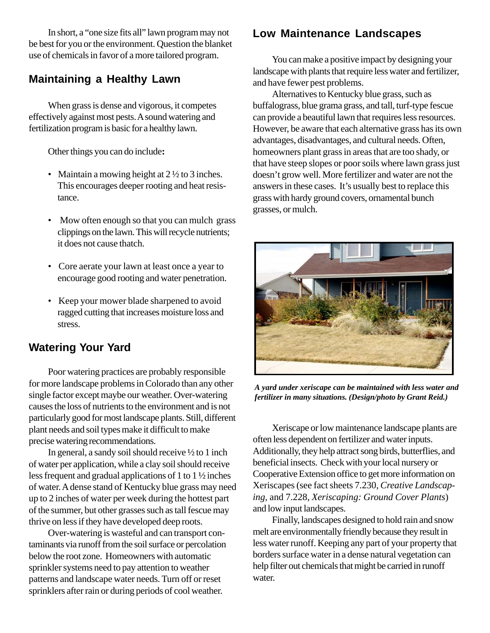In short, a "one size fits all" lawn program may not be best for you or the environment. Question the blanket use of chemicals in favor of a more tailored program.

#### **Maintaining a Healthy Lawn**

When grass is dense and vigorous, it competes effectively against most pests. A sound watering and fertilization program is basic for a healthy lawn.

Other things you can do include**:**

- Maintain a mowing height at  $2\frac{1}{2}$  to 3 inches. This encourages deeper rooting and heat resistance.
- Mow often enough so that you can mulch grass clippings on the lawn. This will recycle nutrients; it does not cause thatch.
- Core aerate your lawn at least once a year to encourage good rooting and water penetration.
- Keep your mower blade sharpened to avoid ragged cutting that increases moisture loss and stress.

# **Watering Your Yard**

Poor watering practices are probably responsible for more landscape problems in Colorado than any other single factor except maybe our weather. Over-watering causes the loss of nutrients to the environment and is not particularly good for most landscape plants. Still, different plant needs and soil types make it difficult to make precise watering recommendations.

In general, a sandy soil should receive ½ to 1 inch of water per application, while a clay soil should receive less frequent and gradual applications of 1 to 1 ½ inches of water. A dense stand of Kentucky blue grass may need up to 2 inches of water per week during the hottest part of the summer, but other grasses such as tall fescue may thrive on less if they have developed deep roots.

Over-watering is wasteful and can transport contaminants via runoff from the soil surface or percolation below the root zone. Homeowners with automatic sprinkler systems need to pay attention to weather patterns and landscape water needs. Turn off or reset sprinklers after rain or during periods of cool weather.

# **Low Maintenance Landscapes**

You can make a positive impact by designing your landscape with plants that require less water and fertilizer, and have fewer pest problems.

Alternatives to Kentucky blue grass, such as buffalograss, blue grama grass, and tall, turf-type fescue can provide a beautiful lawn that requires less resources. However, be aware that each alternative grass has its own advantages, disadvantages, and cultural needs. Often, homeowners plant grass in areas that are too shady, or that have steep slopes or poor soils where lawn grass just doesn't grow well. More fertilizer and water are not the answers in these cases. It's usually best to replace this grass with hardy ground covers, ornamental bunch grasses, or mulch.



*A yard under xeriscape can be maintained with less water and fertilizer in many situations. (Design/photo by Grant Reid.)*

Xeriscape or low maintenance landscape plants are often less dependent on fertilizer and water inputs. Additionally, they help attract song birds, butterflies, and beneficial insects. Check with your local nursery or Cooperative Extension office to get more information on Xeriscapes (see fact sheets 7.230, *Creative Landscaping,* and 7.228, *Xeriscaping: Ground Cover Plants*) and low input landscapes.

Finally, landscapes designed to hold rain and snow melt are environmentally friendly because they result in less water runoff. Keeping any part of your property that borders surface water in a dense natural vegetation can help filter out chemicals that might be carried in runoff water.